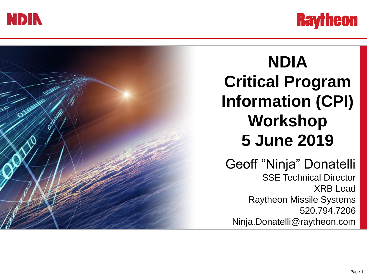



### **NDIA Critical Program Information (CPI) Workshop 5 June 2019** Geoff "Ninja" Donatelli SSE Technical Director XRB Lead Raytheon Missile Systems 520.794.7206 Ninja.Donatelli@raytheon.com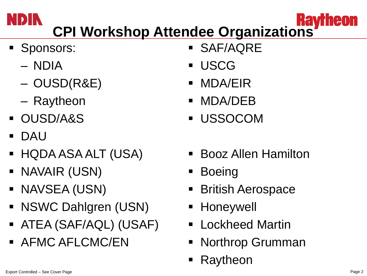# **CPI Workshop Attendee Organizations**

- **Sponsors:** 
	- NDIA
	- OUSD(R&E)
	- Raytheon
- OUSD/A&S
- DAU
- HQDA ASA ALT (USA)
- NAVAIR (USN)
- **NAVSEA (USN)**
- NSWC Dahlgren (USN)
- ATEA (SAF/AQL) (USAF)
- **AFMC AFLCMC/EN**
- SAF/AQRE
- **USCG**
- MDA/EIR
- MDA/DEB
- USSOCOM
- Booz Allen Hamilton
- **Boeing**
- British Aerospace
- Honeywell
- Lockheed Martin
- Northrop Grumman
- Raytheon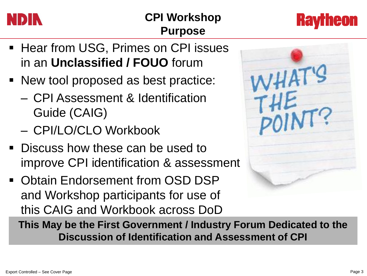

#### **CPI Workshop Purpose**



- **EXTERG** Hear from USG, Primes on CPI issues in an **Unclassified / FOUO** forum
- New tool proposed as best practice:
	- CPI Assessment & Identification Guide (CAIG)
	- CPI/LO/CLO Workbook
- **Discuss how these can be used to** improve CPI identification & assessment
- **Obtain Endorsement from OSD DSP** and Workshop participants for use of this CAIG and Workbook across DoD



**This May be the First Government / Industry Forum Dedicated to the Discussion of Identification and Assessment of CPI**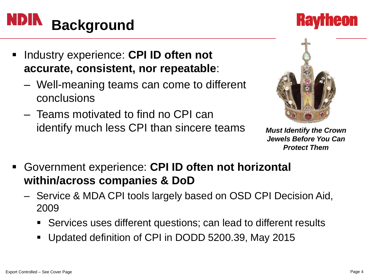### **Background**

- Industry experience: **CPI ID often not accurate, consistent, nor repeatable**:
	- Well-meaning teams can come to different conclusions
	- Teams motivated to find no CPI can identify much less CPI than sincere teams *Must Identify the Crown* 
		- *Jewels Before You Can Protect Them*
- Government experience: **CPI ID often not horizontal within/across companies & DoD**
	- Service & MDA CPI tools largely based on OSD CPI Decision Aid, 2009
		- Services uses different questions; can lead to different results
		- Updated definition of CPI in DODD 5200.39, May 2015



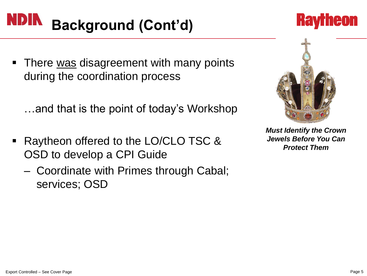### **Background (Cont'd)**

- **There was disagreement with many points** during the coordination process
	- …and that is the point of today's Workshop
- Raytheon offered to the LO/CLO TSC & OSD to develop a CPI Guide
	- Coordinate with Primes through Cabal; services; OSD



*Must Identify the Crown Jewels Before You Can Protect Them*

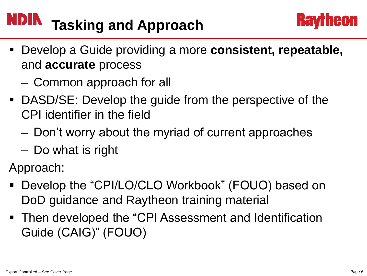## **Tasking and Approach**



- Develop a Guide providing a more **consistent, repeatable,**  and **accurate** process
	- Common approach for all
- DASD/SE: Develop the guide from the perspective of the CPI identifier in the field
	- Don't worry about the myriad of current approaches
	- Do what is right

Approach:

- Develop the "CPI/LO/CLO Workbook" (FOUO) based on DoD guidance and Raytheon training material
- Then developed the "CPI Assessment and Identification Guide (CAIG)" (FOUO)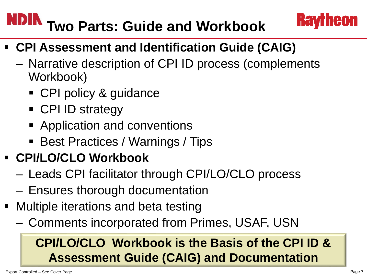## **NDIN** Two Parts: Guide and Workbook

- **CPI Assessment and Identification Guide (CAIG)**
	- Narrative description of CPI ID process (complements Workbook)
		- CPI policy & guidance
		- CPI ID strategy
		- **Application and conventions**
		- Best Practices / Warnings / Tips
- **CPI/LO/CLO Workbook**
	- Leads CPI facilitator through CPI/LO/CLO process
	- Ensures thorough documentation
- Multiple iterations and beta testing
	- Comments incorporated from Primes, USAF, USN

#### **CPI/LO/CLO Workbook is the Basis of the CPI ID & Assessment Guide (CAIG) and Documentation**

**Hav** 

leon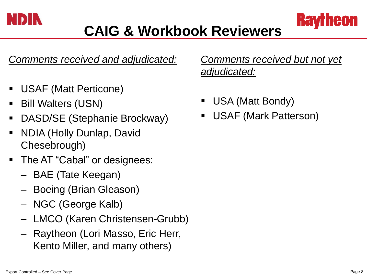

*Comments received and adjudicated:*

- USAF (Matt Perticone)
- Bill Walters (USN)
- DASD/SE (Stephanie Brockway)
- NDIA (Holly Dunlap, David Chesebrough)
- The AT "Cabal" or designees:
	- BAE (Tate Keegan)
	- Boeing (Brian Gleason)
	- NGC (George Kalb)
	- LMCO (Karen Christensen-Grubb)
	- Raytheon (Lori Masso, Eric Herr, Kento Miller, and many others)

*Comments received but not yet adjudicated:*

- USA (Matt Bondy)
- USAF (Mark Patterson)

leon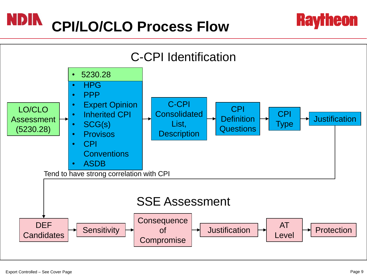#### **NDIN CPI/LO/CLO Process Flow**



**Raytheon**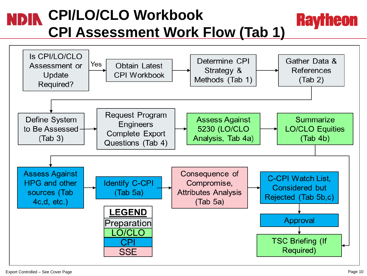#### **CPI/LO/CLO Workbook Raytheon CPI Assessment Work Flow (Tab 1)**

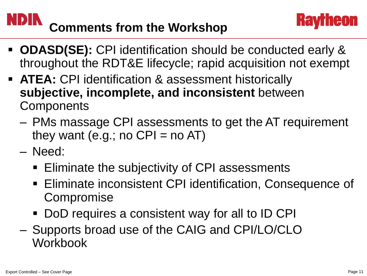## **Comments from the Workshop**

- **ODASD(SE):** CPI identification should be conducted early & throughout the RDT&E lifecycle; rapid acquisition not exempt
- **ATEA: CPI identification & assessment historically subjective, incomplete, and inconsistent** between **Components** 
	- PMs massage CPI assessments to get the AT requirement they want (e.g.; no  $CPI = no AT$ )
	- Need:
		- **Eliminate the subjectivity of CPI assessments**
		- Eliminate inconsistent CPI identification, Consequence of **Compromise**
		- **DoD** requires a consistent way for all to ID CPI
	- Supports broad use of the CAIG and CPI/LO/CLO Workbook

ieon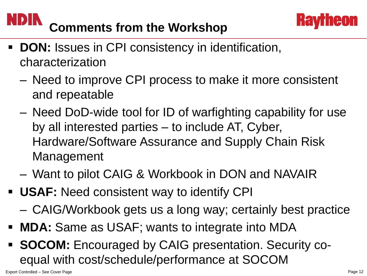## **Comments from the Workshop**



- **DON:** Issues in CPI consistency in identification, characterization
	- Need to improve CPI process to make it more consistent and repeatable
	- Need DoD-wide tool for ID of warfighting capability for use by all interested parties – to include AT, Cyber, Hardware/Software Assurance and Supply Chain Risk Management
	- Want to pilot CAIG & Workbook in DON and NAVAIR
- **USAF:** Need consistent way to identify CPI
	- CAIG/Workbook gets us a long way; certainly best practice
- **MDA:** Same as USAF; wants to integrate into MDA
- **SOCOM:** Encouraged by CAIG presentation. Security coequal with cost/schedule/performance at SOCOM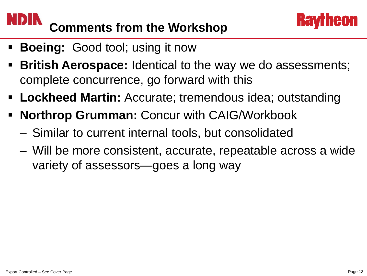#### **NDIN Comments from the Workshop**

- **Boeing:** Good tool; using it now
- **British Aerospace:** Identical to the way we do assessments; complete concurrence, go forward with this
- **Lockheed Martin:** Accurate; tremendous idea; outstanding
- **Northrop Grumman:** Concur with CAIG/Workbook
	- Similar to current internal tools, but consolidated
	- Will be more consistent, accurate, repeatable across a wide variety of assessors—goes a long way

**Hav** 

ieon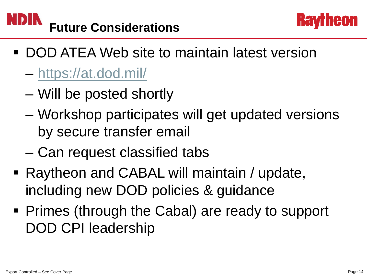



- DOD ATEA Web site to maintain latest version
	- <https://at.dod.mil/>
	- Will be posted shortly
	- Workshop participates will get updated versions by secure transfer email
	- Can request classified tabs
- Raytheon and CABAL will maintain / update, including new DOD policies & guidance
- Primes (through the Cabal) are ready to support DOD CPI leadership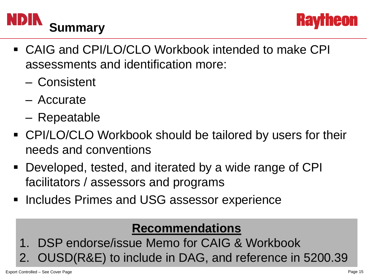



- CAIG and CPI/LO/CLO Workbook intended to make CPI assessments and identification more:
	- Consistent
	- Accurate
	- Repeatable
- CPI/LO/CLO Workbook should be tailored by users for their needs and conventions
- Developed, tested, and iterated by a wide range of CPI facilitators / assessors and programs
- **Includes Primes and USG assessor experience**

#### **Recommendations**

- 1. DSP endorse/issue Memo for CAIG & Workbook
- 2. OUSD(R&E) to include in DAG, and reference in 5200.39